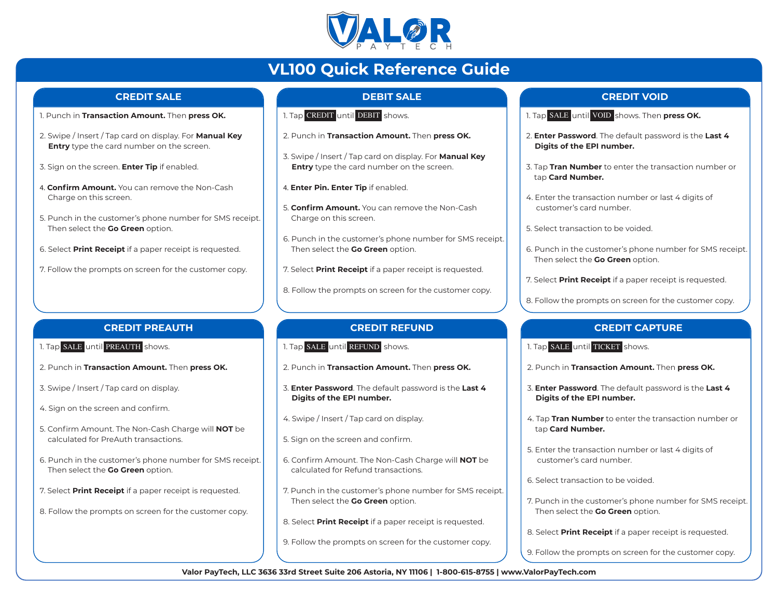

# **VL100 Quick Reference Guide**

#### **CREDIT SALE**

- 1. Punch in **Transaction Amount.** Then **press OK.**
- 2. Swipe / Insert / Tap card on display. For **Manual Key Entry** type the card number on the screen.
- 3. Sign on the screen. **Enter Tip** if enabled.
- 4. **Confirm Amount.** You can remove the Non-Cash Charge on this screen.
- 5. Punch in the customer's phone number for SMS receipt. Then select the **Go Green** option.
- 6. Select **Print Receipt** if a paper receipt is requested.
- 7. Follow the prompts on screen for the customer copy.

# **DEBIT SALE**

- 1. Tap CREDIT <mark>until</mark> DEBIT <mark>shows.</mark>
- 2. Punch in **Transaction Amount.** Then **press OK.**
- 3. Swipe / Insert / Tap card on display. For **Manual Key Entry** type the card number on the screen.
- 4. **Enter Pin. Enter Tip** if enabled.
- 5. **Confirm Amount.** You can remove the Non-Cash Charge on this screen.
- 6. Punch in the customer's phone number for SMS receipt. Then select the **Go Green** option.
- 7. Select **Print Receipt** if a paper receipt is requested.
- 8. Follow the prompts on screen for the customer copy.

#### **CREDIT REFUND**

- 1. Tap SALE until REFUND shows.
- 2. Punch in **Transaction Amount.** Then **press OK.**
- 3. **Enter Password**. The default password is the **Last 4 Digits of the EPI number.**
- 4. Swipe / Insert / Tap card on display.
- 5. Sign on the screen and confirm.
- 6. Confirm Amount. The Non-Cash Charge will **NOT** be calculated for Refund transactions.
- 7. Punch in the customer's phone number for SMS receipt. Then select the **Go Green** option.
- 8. Select **Print Receipt** if a paper receipt is requested.
- 9. Follow the prompts on screen for the customer copy.

#### **CREDIT VOID**

- 1. Tap SALE <mark>until</mark> VOID <mark>shows. Then **press OK.**</mark>
- 2. **Enter Password**. The default password is the **Last 4 Digits of the EPI number.**
- 3. Tap **Tran Number** to enter the transaction number or tap **Card Number.**
- 4. Enter the transaction number or last 4 digits of customer's card number.
- 5. Select transaction to be voided.
- 6. Punch in the customer's phone number for SMS receipt. Then select the **Go Green** option.
- 7. Select **Print Receipt** if a paper receipt is requested.
- 8. Follow the prompts on screen for the customer copy.

# **CREDIT CAPTURE**

- 1. Tap SALE until TICKET shows.
- 2. Punch in **Transaction Amount.** Then **press OK.**
- 3. **Enter Password**. The default password is the **Last 4 Digits of the EPI number.**
- 4. Tap **Tran Number** to enter the transaction number or tap **Card Number.**
- 5. Enter the transaction number or last 4 digits of customer's card number.
- 6. Select transaction to be voided.
- 7. Punch in the customer's phone number for SMS receipt. Then select the **Go Green** option.
- 8. Select **Print Receipt** if a paper receipt is requested.
- 9. Follow the prompts on screen for the customer copy.

**Valor PayTech, LLC 3636 33rd Street Suite 206 Astoria, NY 11106 | 1-800-615-8755 | www.ValorPayTech.com**

# **CREDIT PREAUTH**

- 1. Tap SALE <mark>until</mark> PREAUTH shows.
- 2. Punch in **Transaction Amount.** Then **press OK.**
- 3. Swipe / Insert / Tap card on display.
- 4. Sign on the screen and confirm.
- 5. Confirm Amount. The Non-Cash Charge will **NOT** be calculated for PreAuth transactions.
- 6. Punch in the customer's phone number for SMS receipt. Then select the **Go Green** option.
- 7. Select **Print Receipt** if a paper receipt is requested.
- 8. Follow the prompts on screen for the customer copy.